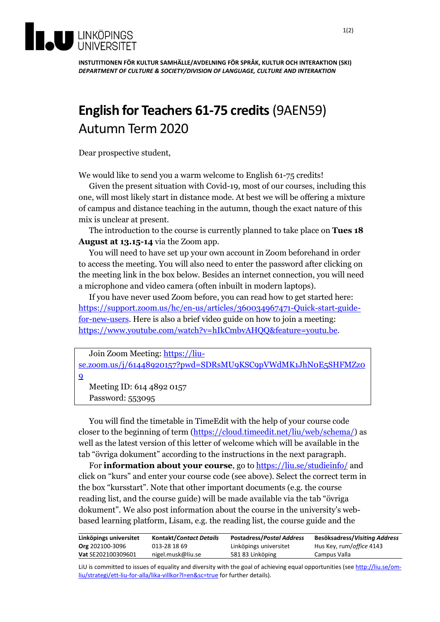

**INSTUTITIONEN FÖR KULTUR SAMHÄLLE/AVDELNING FÖR SPRÅK, KULTUR OCH INTERAKTION (SKI)** *DEPARTMENT OF CULTURE & SOCIETY/DIVISION OF LANGUAGE, CULTURE AND INTERAKTION*

## **English for Teachers 61-75 credits** (9AEN59) Autumn Term 2020

Dear prospective student,

We would like to send you a warm welcome to English 61-75 credits!

Given the present situation with Covid-19, most of our courses, including this one, will most likely start in distance mode. At best we will be offering a mixture of campus and distance teaching in the autumn, though the exact nature of this mix is unclear at present.

The introduction to the course is currently planned to take place on **Tues 18 August at 13.15-14** via the Zoom app.

You will need to have set up your own account in Zoom beforehand in order to access the meeting. You will also need to enter the password after clicking on the meeting link in the box below. Besides an internet connection, you will need a microphone and video camera (often inbuilt in modern laptops).

If you have never used Zoom before, you can read how to get started here: [https://support.zoom.us/hc/en-us/articles/360034967471-Quick-start-guide](https://support.zoom.us/hc/en-us/articles/360034967471-Quick-start-guide-for-new-users)[for-new-users.](https://support.zoom.us/hc/en-us/articles/360034967471-Quick-start-guide-for-new-users) Here is also a brief video guide on how to join a meeting: [https://www.youtube.com/watch?v=hIkCmbvAHQQ&feature=youtu.be.](https://www.youtube.com/watch?v=hIkCmbvAHQQ&feature=youtu.be)

|          | Join Zoom Meeting: https://liu-                                                        |
|----------|----------------------------------------------------------------------------------------|
|          | se.zoom.us/j/61448920157?pwd=SDRsMU9KSC9pVWdMK1JhNoE5SHFMZz0                           |
| <b>Q</b> |                                                                                        |
|          | $M_{\odot}$ $\ddot{\rm m}$ $\ddot{\rm m}$ $\ddot{\rm m}$ $\ddot{\rm m}$ $\ddot{\rm m}$ |

Meeting ID: 614 4892 0157 Password: 553095

You will find the timetable in TimeEdit with the help of your course code closer to the beginning of term [\(https://cloud.timeedit.net/liu/web/schema/\)](https://cloud.timeedit.net/liu/web/schema/) as well as the latest version of this letter of welcome which will be available in the tab "övriga dokument" according to the instructions in the next paragraph.

For **information about your course**, go t[o https://liu.se/studieinfo/](https://liu.se/studieinfo/) and click on "kurs" and enter your course code (see above). Select the correct term in the box "kursstart". Note that other important documents (e.g. the course reading list, and the course guide) will be made available via the tab "övriga dokument". We also post information about the course in the university's webbased learning platform, Lisam, e.g. the reading list, the course guide and the

| Linköpings universitet | <b>Kontakt/Contact Details</b> | <b>Postadress/Postal Address</b> | <b>Besöksadress/Visiting Address</b> |
|------------------------|--------------------------------|----------------------------------|--------------------------------------|
| <b>Org</b> 202100-3096 | 013-28 18 69                   | Linköpings universitet           | Hus Key, rum/office 4143             |
| Vat SE202100309601     | nigel.musk@liu.se              | 581 83 Linköping                 | Campus Valla                         |

LiU is committed to issues of equality and diversity with the goal of achieving equal opportunities (see [http://liu.se/om](http://liu.se/om-liu/strategi/ett-liu-for-alla/lika-villkor?l=en&sc=true)[liu/strategi/ett-liu-for-alla/lika-villkor?l=en&sc=true](http://liu.se/om-liu/strategi/ett-liu-for-alla/lika-villkor?l=en&sc=true) for further details).